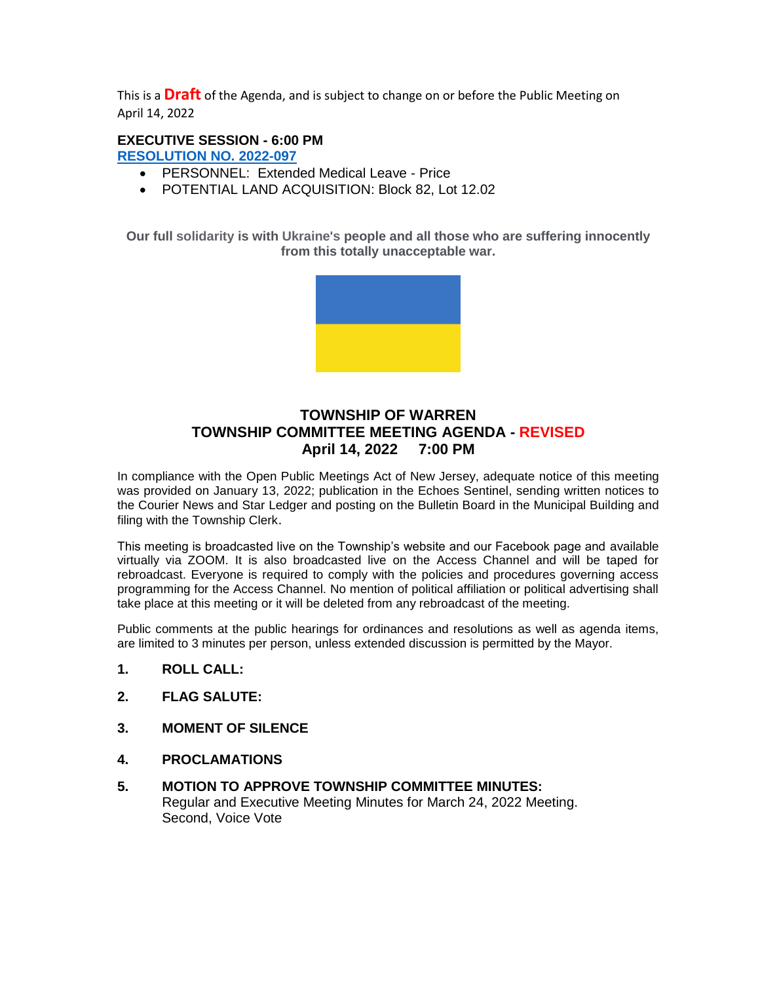This is a **Draft** of the Agenda, and is subject to change on or before the Public Meeting on April 14, 2022

# **EXECUTIVE SESSION - 6:00 PM**

**[RESOLUTION NO.](https://nj-warrentownship.civicplus.com/DocumentCenter/View/5579/2022-097-Executive-Session-April-PDF) 2022-097** 

- PERSONNEL: Extended Medical Leave Price
- POTENTIAL LAND ACQUISITION: Block 82, Lot 12.02

**Our full solidarity is with Ukraine's people and all those who are suffering innocently from this totally unacceptable war.**



# **TOWNSHIP OF WARREN TOWNSHIP COMMITTEE MEETING AGENDA - REVISED April 14, 2022 7:00 PM**

In compliance with the Open Public Meetings Act of New Jersey, adequate notice of this meeting was provided on January 13, 2022; publication in the Echoes Sentinel, sending written notices to the Courier News and Star Ledger and posting on the Bulletin Board in the Municipal Building and filing with the Township Clerk.

This meeting is broadcasted live on the Township's website and our Facebook page and available virtually via ZOOM. It is also broadcasted live on the Access Channel and will be taped for rebroadcast. Everyone is required to comply with the policies and procedures governing access programming for the Access Channel. No mention of political affiliation or political advertising shall take place at this meeting or it will be deleted from any rebroadcast of the meeting.

Public comments at the public hearings for ordinances and resolutions as well as agenda items, are limited to 3 minutes per person, unless extended discussion is permitted by the Mayor.

- **1. ROLL CALL:**
- **2. FLAG SALUTE:**
- **3. MOMENT OF SILENCE**
- **4. PROCLAMATIONS**
- **5. MOTION TO APPROVE TOWNSHIP COMMITTEE MINUTES:** Regular and Executive Meeting Minutes for March 24, 2022 Meeting. Second, Voice Vote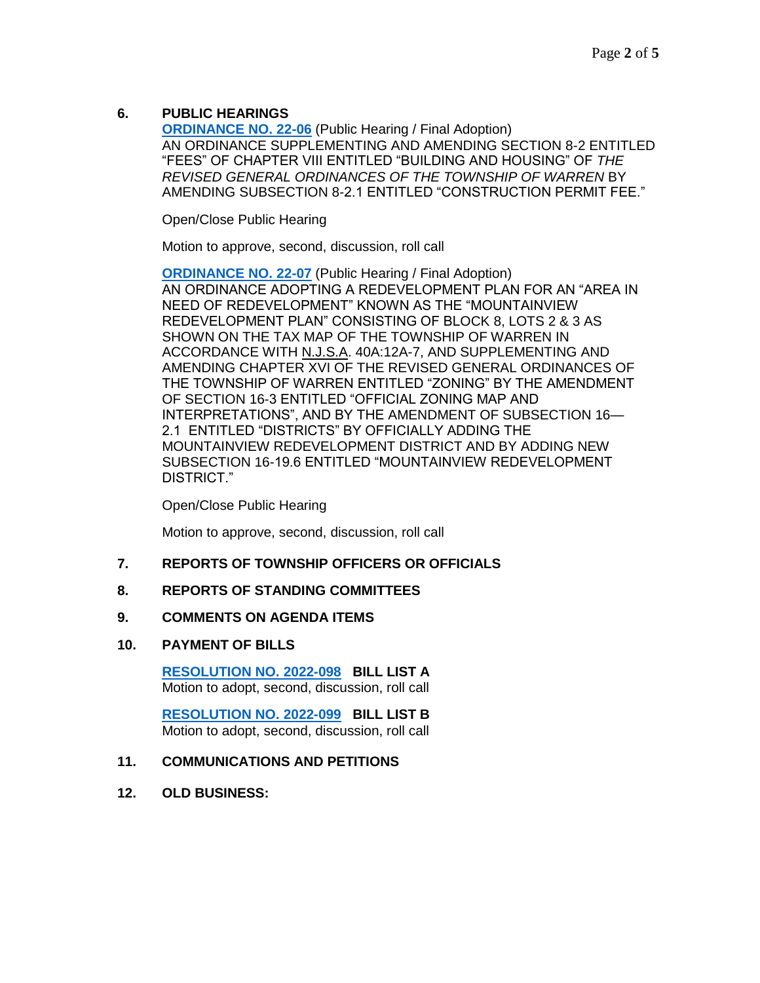# **6. PUBLIC HEARINGS**

**[ORDINANCE NO. 22-06](https://nj-warrentownship.civicplus.com/DocumentCenter/View/5584/Ordinance-22-06-Amending-Fee-For-Reinstatement-of-a-Construction-Permit-PDF) (Public Hearing / Final Adoption)** AN ORDINANCE SUPPLEMENTING AND AMENDING SECTION 8-2 ENTITLED "FEES" OF CHAPTER VIII ENTITLED "BUILDING AND HOUSING" OF *THE REVISED GENERAL ORDINANCES OF THE TOWNSHIP OF WARREN* BY AMENDING SUBSECTION 8-2.1 ENTITLED "CONSTRUCTION PERMIT FEE."

Open/Close Public Hearing

Motion to approve, second, discussion, roll call

**[ORDINANCE NO. 22-07](https://nj-warrentownship.civicplus.com/DocumentCenter/View/5604/Ordinance-22-07-Adopting-Mountainview-Road-Redevelopment-Plan-PDF) (Public Hearing / Final Adoption)** AN ORDINANCE ADOPTING A REDEVELOPMENT PLAN FOR AN "AREA IN NEED OF REDEVELOPMENT" KNOWN AS THE "MOUNTAINVIEW REDEVELOPMENT PLAN" CONSISTING OF BLOCK 8, LOTS 2 & 3 AS SHOWN ON THE TAX MAP OF THE TOWNSHIP OF WARREN IN ACCORDANCE WITH N.J.S.A. 40A:12A-7, AND SUPPLEMENTING AND AMENDING CHAPTER XVI OF THE REVISED GENERAL ORDINANCES OF THE TOWNSHIP OF WARREN ENTITLED "ZONING" BY THE AMENDMENT OF SECTION 16-3 ENTITLED "OFFICIAL ZONING MAP AND INTERPRETATIONS", AND BY THE AMENDMENT OF SUBSECTION 16— 2.1 ENTITLED "DISTRICTS" BY OFFICIALLY ADDING THE MOUNTAINVIEW REDEVELOPMENT DISTRICT AND BY ADDING NEW SUBSECTION 16-19.6 ENTITLED "MOUNTAINVIEW REDEVELOPMENT DISTRICT."

Open/Close Public Hearing

Motion to approve, second, discussion, roll call

## **7. REPORTS OF TOWNSHIP OFFICERS OR OFFICIALS**

### **8. REPORTS OF STANDING COMMITTEES**

### **9. COMMENTS ON AGENDA ITEMS**

### **10. PAYMENT OF BILLS**

**[RESOLUTION NO. 2022-098](https://nj-warrentownship.civicplus.com/DocumentCenter/View/5580/2022-098-Bill-List-A-PDF) BILL LIST A** Motion to adopt, second, discussion, roll call

 **[RESOLUTION NO. 2022-099](https://nj-warrentownship.civicplus.com/DocumentCenter/View/5581/2022-099-Bill-List-B-PDF) BILL LIST B** Motion to adopt, second, discussion, roll call

### **11. COMMUNICATIONS AND PETITIONS**

**12. OLD BUSINESS:**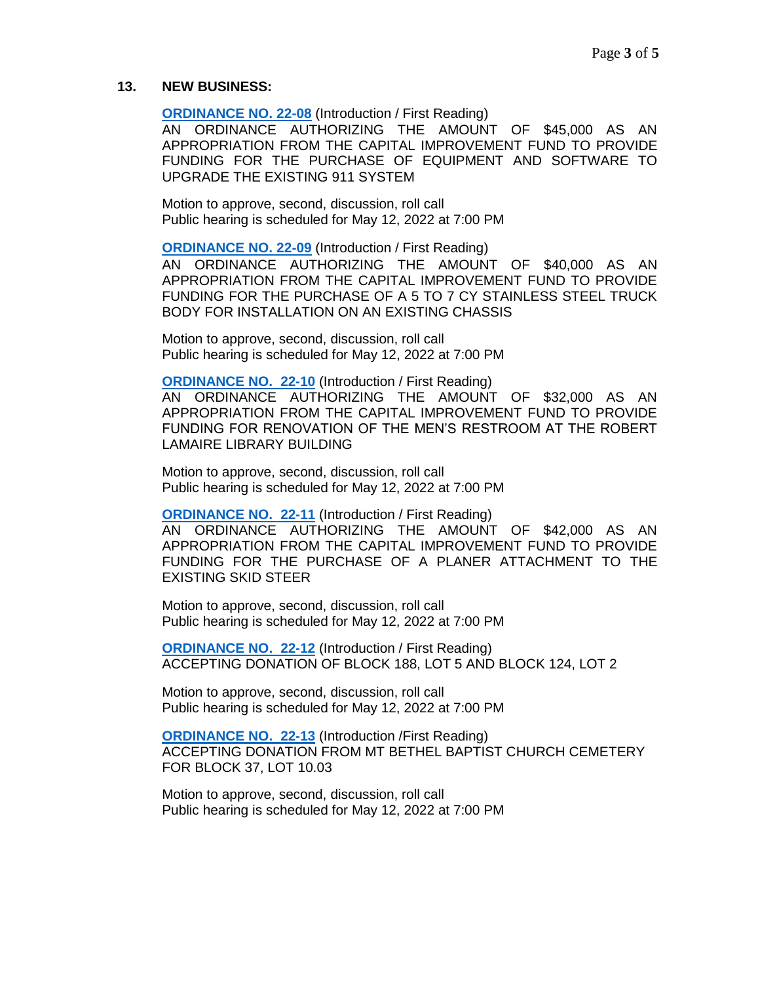#### **13. NEW BUSINESS:**

**[ORDINANCE NO. 22-08](https://nj-warrentownship.civicplus.com/DocumentCenter/View/5591/Ordinance-22-08-Authorizing-45000-dollars-from-Capital-Improvement-Fund-for-the-Purchase-of-Equipment-and-Software-PDF)** (Introduction / First Reading)

AN ORDINANCE AUTHORIZING THE AMOUNT OF \$45,000 AS AN APPROPRIATION FROM THE CAPITAL IMPROVEMENT FUND TO PROVIDE FUNDING FOR THE PURCHASE OF EQUIPMENT AND SOFTWARE TO UPGRADE THE EXISTING 911 SYSTEM

Motion to approve, second, discussion, roll call Public hearing is scheduled for May 12, 2022 at 7:00 PM

**[ORDINANCE NO. 22-09](https://nj-warrentownship.civicplus.com/DocumentCenter/View/5592/Ordinance-22-09-Authorizing-40000-dollars-from-Capital-Improvement-Fund-for-the-Purchase-of-a-5-to-7-CY-Stainless-Steel-Truck-Body-PDF)** (Introduction / First Reading)

AN ORDINANCE AUTHORIZING THE AMOUNT OF \$40,000 AS AN APPROPRIATION FROM THE CAPITAL IMPROVEMENT FUND TO PROVIDE FUNDING FOR THE PURCHASE OF A 5 TO 7 CY STAINLESS STEEL TRUCK BODY FOR INSTALLATION ON AN EXISTING CHASSIS

Motion to approve, second, discussion, roll call Public hearing is scheduled for May 12, 2022 at 7:00 PM

**[ORDINANCE NO.](https://nj-warrentownship.civicplus.com/DocumentCenter/View/5586/Ordinance-22-10-Authorizing-32000-dollars-from-Capital-Improvement-Fund-for-Renovation-of-the-Mens-Restroom-at-the-Library-Building-PDF) 22-10** (Introduction / First Reading)

AN ORDINANCE AUTHORIZING THE AMOUNT OF \$32,000 AS AN APPROPRIATION FROM THE CAPITAL IMPROVEMENT FUND TO PROVIDE FUNDING FOR RENOVATION OF THE MEN'S RESTROOM AT THE ROBERT LAMAIRE LIBRARY BUILDING

Motion to approve, second, discussion, roll call Public hearing is scheduled for May 12, 2022 at 7:00 PM

**[ORDINANCE NO. 22-11](https://nj-warrentownship.civicplus.com/DocumentCenter/View/5593/Ordinance-22-11-Authorizing-42000-dollars-from-the-Capital-Improvement-Fund-for-the-Purchase-of-a-Planer-Attachment-PDF)** (Introduction / First Reading)

AN ORDINANCE AUTHORIZING THE AMOUNT OF \$42,000 AS AN APPROPRIATION FROM THE CAPITAL IMPROVEMENT FUND TO PROVIDE FUNDING FOR THE PURCHASE OF A PLANER ATTACHMENT TO THE EXISTING SKID STEER

Motion to approve, second, discussion, roll call Public hearing is scheduled for May 12, 2022 at 7:00 PM

**[ORDINANCE NO. 22-12](https://nj-warrentownship.civicplus.com/DocumentCenter/View/5587/Ordinance-22-12-Ordinance-Accepting-Land-Donation---Malt-PDF) (Introduction / First Reading)** ACCEPTING DONATION OF BLOCK 188, LOT 5 AND BLOCK 124, LOT 2

Motion to approve, second, discussion, roll call Public hearing is scheduled for May 12, 2022 at 7:00 PM

**[ORDINANCE NO. 22-13](https://nj-warrentownship.civicplus.com/DocumentCenter/View/5594/Ordinance-22-13-Accepting-Donation-of-Lot-1003-Block-37-PDF)** (Introduction /First Reading) ACCEPTING DONATION FROM MT BETHEL BAPTIST CHURCH CEMETERY FOR BLOCK 37, LOT 10.03

Motion to approve, second, discussion, roll call Public hearing is scheduled for May 12, 2022 at 7:00 PM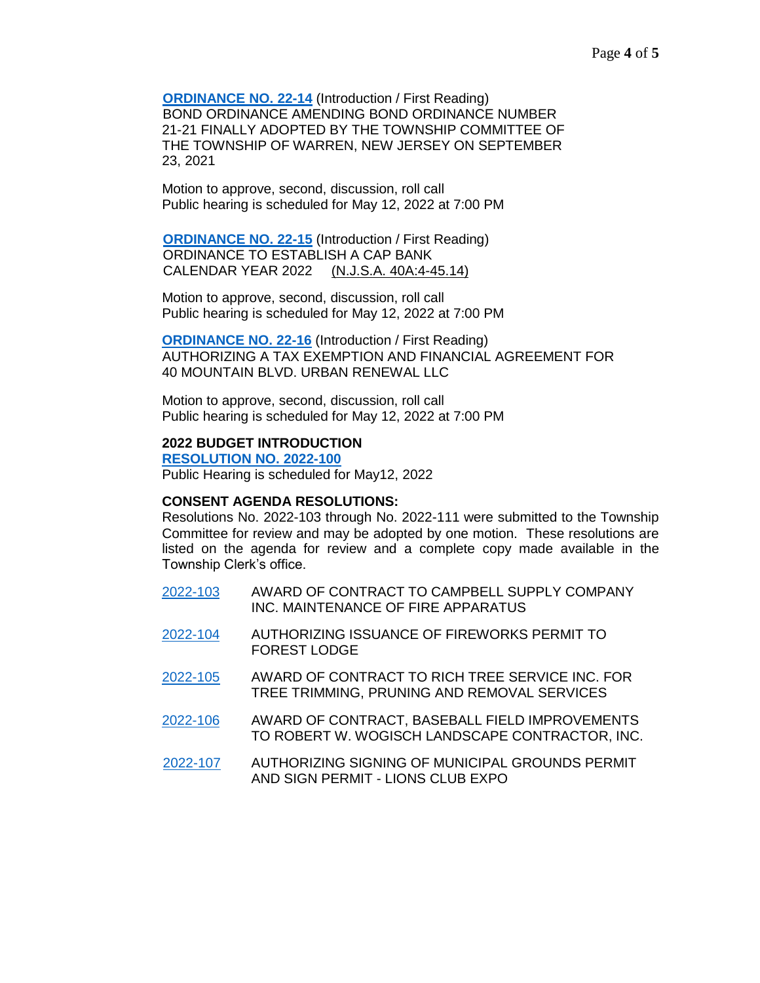**[ORDINANCE NO. 22-14](https://nj-warrentownship.civicplus.com/DocumentCenter/View/5588/Ordinance-22-14-Bond-Ordinance-Amending-Bond-Ordinance-No-21-21-PDF)** (Introduction / First Reading) BOND ORDINANCE AMENDING BOND ORDINANCE NUMBER 21-21 FINALLY ADOPTED BY THE TOWNSHIP COMMITTEE OF THE TOWNSHIP OF WARREN, NEW JERSEY ON SEPTEMBER 23, 2021

Motion to approve, second, discussion, roll call Public hearing is scheduled for May 12, 2022 at 7:00 PM

**[ORDINANCE NO. 22-15](https://nj-warrentownship.civicplus.com/DocumentCenter/View/5589/Ordinance-22-15-Cap-Bank-Ord---2022-PDF) (Introduction / First Reading)**  ORDINANCE TO ESTABLISH A CAP BANK CALENDAR YEAR 2022 (N.J.S.A. 40A:4-45.14)

Motion to approve, second, discussion, roll call Public hearing is scheduled for May 12, 2022 at 7:00 PM

**[ORDINANCE NO. 22-16](https://nj-warrentownship.civicplus.com/DocumentCenter/View/5590/Ordinance-22-16-Approving-Tax-Exemption-for-40-Mountain-PDF)** (Introduction / First Reading) AUTHORIZING A TAX EXEMPTION AND FINANCIAL AGREEMENT FOR 40 MOUNTAIN BLVD. URBAN RENEWAL LLC

Motion to approve, second, discussion, roll call Public hearing is scheduled for May 12, 2022 at 7:00 PM

#### **2022 BUDGET INTRODUCTION**

**[RESOLUTION](https://nj-warrentownship.civicplus.com/DocumentCenter/View/5582/2022-100-Budget-Introduction-PDF) NO. 2022-100** Public Hearing is scheduled for May12, 2022

#### **CONSENT AGENDA RESOLUTIONS:**

Resolutions No. 2022-103 through No. 2022-111 were submitted to the Township Committee for review and may be adopted by one motion. These resolutions are listed on the agenda for review and a complete copy made available in the Township Clerk's office.

- [2022-103](https://nj-warrentownship.civicplus.com/DocumentCenter/View/5565/2022-103-Contract-Award-Campbell-Supply-PDF) AWARD OF CONTRACT TO CAMPBELL SUPPLY COMPANY INC. MAINTENANCE OF FIRE APPARATUS
- [2022-104](https://nj-warrentownship.civicplus.com/DocumentCenter/View/5566/2022-104-Fireworks-Display-Forest-Lodge-PDF) AUTHORIZING ISSUANCE OF FIREWORKS PERMIT TO FOREST LODGE
- [2022-105](https://nj-warrentownship.civicplus.com/DocumentCenter/View/5567/2022-105-Contract-Award-Rich-Tree-Service-PDF) AWARD OF CONTRACT TO RICH TREE SERVICE INC. FOR TREE TRIMMING, PRUNING AND REMOVAL SERVICES
- [2022-106](https://nj-warrentownship.civicplus.com/DocumentCenter/View/5568/2022-106-Award-of-Contract-for-Baseball-Field-Improvements-PDF) AWARD OF CONTRACT, BASEBALL FIELD IMPROVEMENTS TO ROBERT W. WOGISCH LANDSCAPE CONTRACTOR, INC.
- [2022-107](https://nj-warrentownship.civicplus.com/DocumentCenter/View/5595/2022-107-Facility-Use---Lions-Expo-PDF) AUTHORIZING SIGNING OF MUNICIPAL GROUNDS PERMIT AND SIGN PERMIT - LIONS CLUB EXPO